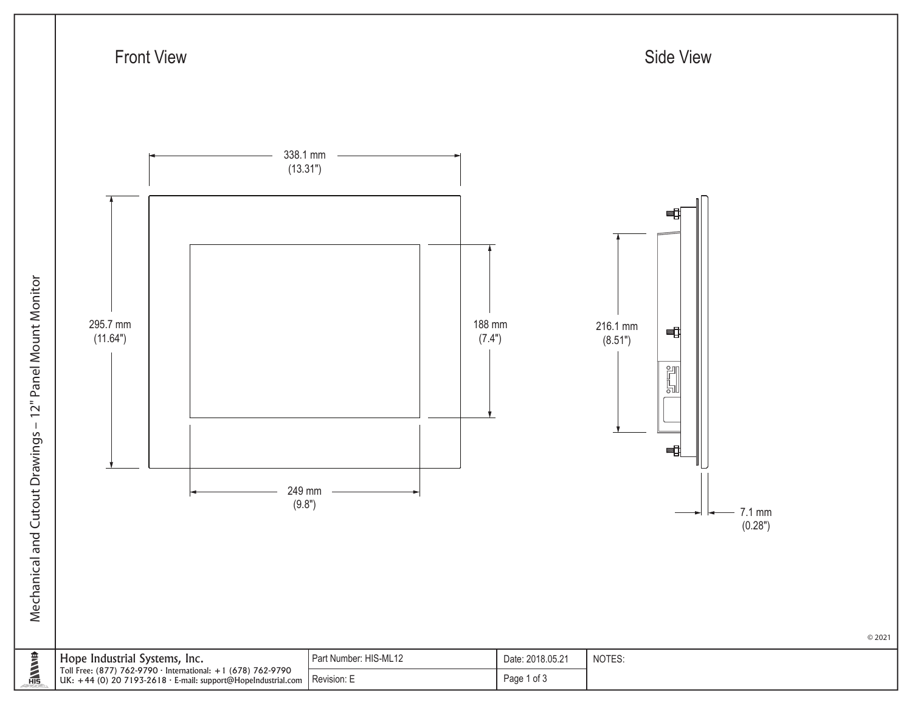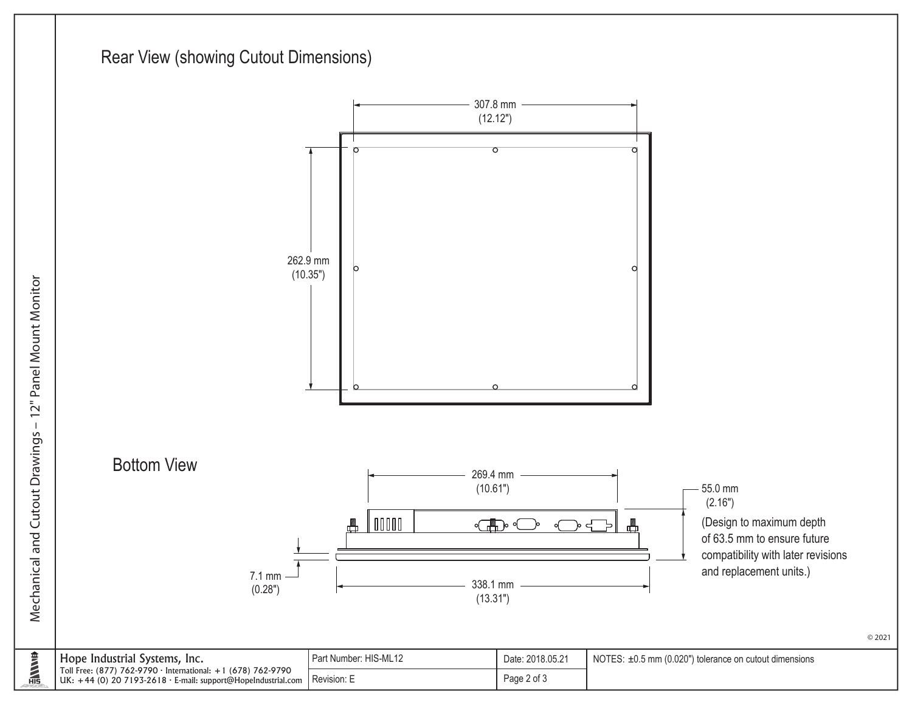